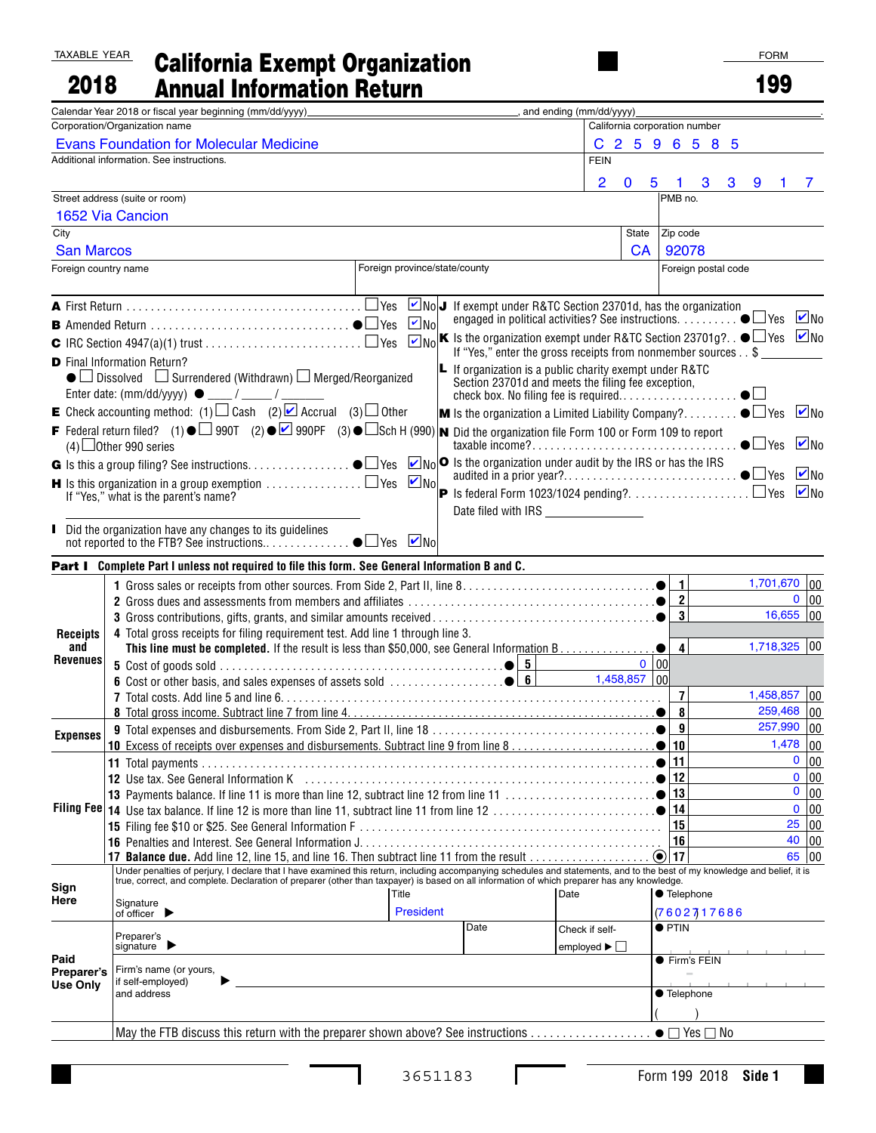## TAXABLE YEAR **2018 - California Exempt Organization**<br>2018 - Annual Information Return

| 2018                                                                                                                                                                                                                           |                                                                                                                                                                                                                                                                      | <b>Annual Information Return</b>                                                                                                                                                                                               |                               |                   |                                                                                                                      |  |                            |                  |                               |   | 199            |                     |                   |
|--------------------------------------------------------------------------------------------------------------------------------------------------------------------------------------------------------------------------------|----------------------------------------------------------------------------------------------------------------------------------------------------------------------------------------------------------------------------------------------------------------------|--------------------------------------------------------------------------------------------------------------------------------------------------------------------------------------------------------------------------------|-------------------------------|-------------------|----------------------------------------------------------------------------------------------------------------------|--|----------------------------|------------------|-------------------------------|---|----------------|---------------------|-------------------|
|                                                                                                                                                                                                                                |                                                                                                                                                                                                                                                                      | Calendar Year 2018 or fiscal year beginning (mm/dd/yyyy)                                                                                                                                                                       |                               |                   |                                                                                                                      |  | _, and ending (mm/dd/yyyy) |                  |                               |   |                |                     |                   |
| Corporation/Organization name                                                                                                                                                                                                  |                                                                                                                                                                                                                                                                      |                                                                                                                                                                                                                                |                               |                   |                                                                                                                      |  |                            |                  | California corporation number |   |                |                     |                   |
| <b>Evans Foundation for Molecular Medicine</b>                                                                                                                                                                                 |                                                                                                                                                                                                                                                                      |                                                                                                                                                                                                                                |                               |                   |                                                                                                                      |  |                            | C 2 5 9 6 5 8 5  |                               |   |                |                     |                   |
|                                                                                                                                                                                                                                |                                                                                                                                                                                                                                                                      | Additional information. See instructions.                                                                                                                                                                                      |                               |                   |                                                                                                                      |  | <b>FEIN</b>                |                  |                               |   |                |                     |                   |
|                                                                                                                                                                                                                                |                                                                                                                                                                                                                                                                      |                                                                                                                                                                                                                                |                               |                   |                                                                                                                      |  | 2                          | $\mathbf 0$<br>5 | 3<br>1                        | 3 | 9<br>1         |                     | 7                 |
| Street address (suite or room)                                                                                                                                                                                                 |                                                                                                                                                                                                                                                                      |                                                                                                                                                                                                                                |                               |                   |                                                                                                                      |  |                            |                  | PMB no.                       |   |                |                     |                   |
| 1652 Via Cancion                                                                                                                                                                                                               |                                                                                                                                                                                                                                                                      |                                                                                                                                                                                                                                |                               |                   |                                                                                                                      |  |                            |                  |                               |   |                |                     |                   |
| City                                                                                                                                                                                                                           |                                                                                                                                                                                                                                                                      |                                                                                                                                                                                                                                |                               |                   |                                                                                                                      |  |                            | State            | Zip code                      |   |                |                     |                   |
| <b>San Marcos</b>                                                                                                                                                                                                              |                                                                                                                                                                                                                                                                      |                                                                                                                                                                                                                                |                               |                   |                                                                                                                      |  | <b>CA</b>                  | 92078            |                               |   |                |                     |                   |
| Foreign country name                                                                                                                                                                                                           |                                                                                                                                                                                                                                                                      |                                                                                                                                                                                                                                | Foreign province/state/county |                   |                                                                                                                      |  |                            |                  | Foreign postal code           |   |                |                     |                   |
|                                                                                                                                                                                                                                |                                                                                                                                                                                                                                                                      |                                                                                                                                                                                                                                |                               |                   | NoJ If exempt under R&TC Section 23701d, has the organization                                                        |  |                            |                  |                               |   |                |                     |                   |
| engaged in political activities? See instructions. $\dots \dots \dots \bullet \Box$ Yes<br>$\blacksquare$ No<br>$\boxed{v_{N0}}$ K Is the organization exempt under R&TC Section 23701g? $\bullet$ $\Box$ Yes $\boxed{v_{N0}}$ |                                                                                                                                                                                                                                                                      |                                                                                                                                                                                                                                |                               |                   |                                                                                                                      |  |                            |                  |                               |   |                | $\blacksquare$ No   |                   |
|                                                                                                                                                                                                                                |                                                                                                                                                                                                                                                                      |                                                                                                                                                                                                                                |                               |                   |                                                                                                                      |  |                            |                  |                               |   |                |                     |                   |
| <b>D</b> Final Information Return?                                                                                                                                                                                             |                                                                                                                                                                                                                                                                      |                                                                                                                                                                                                                                |                               |                   | If "Yes," enter the gross receipts from nonmember sources \$                                                         |  |                            |                  |                               |   |                |                     |                   |
|                                                                                                                                                                                                                                |                                                                                                                                                                                                                                                                      | $\bullet$ Dissolved $\Box$ Surrendered (Withdrawn) $\Box$ Merged/Reorganized                                                                                                                                                   |                               |                   | <b>L</b> If organization is a public charity exempt under R&TC<br>Section 23701d and meets the filing fee exception, |  |                            |                  |                               |   |                |                     |                   |
|                                                                                                                                                                                                                                |                                                                                                                                                                                                                                                                      | E Check accounting method: (1) $\Box$ Cash (2) $\Box$ Accrual (3) $\Box$ Other                                                                                                                                                 |                               |                   |                                                                                                                      |  |                            |                  |                               |   |                |                     | $\blacksquare$ No |
|                                                                                                                                                                                                                                | <b>M</b> Is the organization a Limited Liability Company? $\bullet \Box$ Yes<br>F Federal return filed? (1) $\bullet$ 900T (2) $\bullet$ 900PF (3) $\bullet$ Sch H (990) <b>N</b> Did the organization file Form 100 or Form 109 to report<br>$(4)$ Other 990 series |                                                                                                                                                                                                                                |                               |                   |                                                                                                                      |  |                            |                  |                               |   |                | $\triangleright$ No |                   |
|                                                                                                                                                                                                                                |                                                                                                                                                                                                                                                                      | <b>G</b> Is this a group filing? See instructions. $\bullet$ Yes                                                                                                                                                               |                               |                   | $\boxed{\triangleright}$ No $\boxed{\circ}$ Is the organization under audit by the IRS or has the IRS                |  |                            |                  |                               |   |                |                     |                   |
|                                                                                                                                                                                                                                |                                                                                                                                                                                                                                                                      | <b>H</b> Is this organization in a group exemption $\ldots \ldots \ldots \ldots \square$ Yes                                                                                                                                   |                               | $\blacksquare$ No |                                                                                                                      |  |                            |                  |                               |   |                |                     | $\blacksquare$ No |
|                                                                                                                                                                                                                                |                                                                                                                                                                                                                                                                      | If "Yes," what is the parent's name?                                                                                                                                                                                           |                               |                   |                                                                                                                      |  |                            |                  |                               |   |                |                     | $\blacksquare$ No |
|                                                                                                                                                                                                                                |                                                                                                                                                                                                                                                                      |                                                                                                                                                                                                                                |                               |                   |                                                                                                                      |  |                            |                  |                               |   |                |                     |                   |
|                                                                                                                                                                                                                                |                                                                                                                                                                                                                                                                      | Did the organization have any changes to its guidelines                                                                                                                                                                        |                               |                   |                                                                                                                      |  |                            |                  |                               |   |                |                     |                   |
|                                                                                                                                                                                                                                |                                                                                                                                                                                                                                                                      | Part I Complete Part I unless not required to file this form. See General Information B and C.                                                                                                                                 |                               |                   |                                                                                                                      |  |                            |                  |                               |   |                |                     |                   |
|                                                                                                                                                                                                                                |                                                                                                                                                                                                                                                                      |                                                                                                                                                                                                                                |                               |                   |                                                                                                                      |  |                            |                  | $\blacksquare$                |   | 1,701,670 00   |                     |                   |
|                                                                                                                                                                                                                                |                                                                                                                                                                                                                                                                      |                                                                                                                                                                                                                                |                               |                   |                                                                                                                      |  |                            |                  | $\overline{2}$                |   |                |                     | 0 00              |
|                                                                                                                                                                                                                                |                                                                                                                                                                                                                                                                      |                                                                                                                                                                                                                                |                               |                   |                                                                                                                      |  |                            |                  | $\vert$ 3                     |   | $16,655$ 00    |                     |                   |
| <b>Receipts</b><br>and                                                                                                                                                                                                         |                                                                                                                                                                                                                                                                      | 4 Total gross receipts for filing requirement test. Add line 1 through line 3.<br>This line must be completed. If the result is less than \$50,000, see General Information B.                                                 |                               |                   |                                                                                                                      |  |                            |                  | $\vert$                       |   | $1,718,325$ 00 |                     |                   |
| <b>Revenues</b>                                                                                                                                                                                                                |                                                                                                                                                                                                                                                                      |                                                                                                                                                                                                                                |                               |                   |                                                                                                                      |  |                            | $0$   00         |                               |   |                |                     |                   |
|                                                                                                                                                                                                                                |                                                                                                                                                                                                                                                                      |                                                                                                                                                                                                                                |                               |                   |                                                                                                                      |  | $1,458,857$ 00             |                  |                               |   |                |                     |                   |
|                                                                                                                                                                                                                                |                                                                                                                                                                                                                                                                      |                                                                                                                                                                                                                                |                               |                   |                                                                                                                      |  |                            |                  | $\overline{7}$                |   | $1,458,857$ 00 |                     |                   |
|                                                                                                                                                                                                                                |                                                                                                                                                                                                                                                                      |                                                                                                                                                                                                                                |                               |                   |                                                                                                                      |  |                            |                  | $\circ$                       |   | $259,468$ 00   |                     |                   |
| <b>Expenses</b>                                                                                                                                                                                                                |                                                                                                                                                                                                                                                                      |                                                                                                                                                                                                                                |                               |                   |                                                                                                                      |  |                            |                  | 9                             |   | 257,990        |                     | 00                |
|                                                                                                                                                                                                                                |                                                                                                                                                                                                                                                                      |                                                                                                                                                                                                                                |                               |                   |                                                                                                                      |  |                            |                  | 10                            |   |                | $1,478$ 00          |                   |
|                                                                                                                                                                                                                                |                                                                                                                                                                                                                                                                      |                                                                                                                                                                                                                                |                               |                   |                                                                                                                      |  |                            |                  | 11                            |   |                | 0                   | 00                |
|                                                                                                                                                                                                                                |                                                                                                                                                                                                                                                                      | 12 Use tax. See General Information K (etc.), etc.), etc., etc., etc., etc., etc., etc., etc., etc., etc., etc., etc., etc., etc., etc., etc., etc., etc., etc., etc., etc., etc., etc., etc., etc., etc., etc., etc., etc., e |                               |                   |                                                                                                                      |  |                            |                  | 12                            |   |                | $\mathbf{0}$        | 00                |
|                                                                                                                                                                                                                                |                                                                                                                                                                                                                                                                      |                                                                                                                                                                                                                                |                               |                   |                                                                                                                      |  |                            | 13<br>14         |                               |   |                | 0 00<br>0 00        |                   |
|                                                                                                                                                                                                                                |                                                                                                                                                                                                                                                                      |                                                                                                                                                                                                                                |                               |                   |                                                                                                                      |  |                            | 15               |                               |   | 25 00          |                     |                   |
|                                                                                                                                                                                                                                |                                                                                                                                                                                                                                                                      |                                                                                                                                                                                                                                |                               |                   |                                                                                                                      |  |                            | 16               |                               |   | 40 00          |                     |                   |
|                                                                                                                                                                                                                                |                                                                                                                                                                                                                                                                      |                                                                                                                                                                                                                                |                               |                   |                                                                                                                      |  |                            |                  |                               |   |                | 65 00               |                   |
|                                                                                                                                                                                                                                |                                                                                                                                                                                                                                                                      | Under penalties of perjury, I declare that I have examined this return, including accompanying schedules and statements, and to the best of my knowledge and belief, it is                                                     |                               |                   |                                                                                                                      |  |                            |                  |                               |   |                |                     |                   |
| Sign                                                                                                                                                                                                                           |                                                                                                                                                                                                                                                                      | true, correct, and complete. Declaration of preparer (other than taxpayer) is based on all information of which preparer has any knowledge.<br>Title<br>Date<br>Signature<br>of officer<br>President                           |                               |                   |                                                                                                                      |  |                            |                  | <b>C</b> Telephone            |   |                |                     |                   |
| Here                                                                                                                                                                                                                           |                                                                                                                                                                                                                                                                      |                                                                                                                                                                                                                                |                               |                   |                                                                                                                      |  |                            |                  | (7602717686                   |   |                |                     |                   |
|                                                                                                                                                                                                                                |                                                                                                                                                                                                                                                                      |                                                                                                                                                                                                                                |                               |                   | Date                                                                                                                 |  | Check if self-             |                  | $\bullet$ PTIN                |   |                |                     |                   |
|                                                                                                                                                                                                                                | Preparer's<br>signature $\blacktriangleright$                                                                                                                                                                                                                        |                                                                                                                                                                                                                                |                               |                   |                                                                                                                      |  | employed ▶ L               |                  |                               |   |                |                     |                   |
| Paid                                                                                                                                                                                                                           |                                                                                                                                                                                                                                                                      |                                                                                                                                                                                                                                |                               |                   |                                                                                                                      |  |                            |                  | ● Firm's FEIN                 |   |                |                     |                   |
| Preparer's<br><b>Use Only</b>                                                                                                                                                                                                  |                                                                                                                                                                                                                                                                      | Firm's name (or yours,<br>if self-employed)                                                                                                                                                                                    |                               |                   |                                                                                                                      |  |                            |                  |                               |   |                |                     |                   |
|                                                                                                                                                                                                                                |                                                                                                                                                                                                                                                                      | and address                                                                                                                                                                                                                    |                               |                   |                                                                                                                      |  |                            |                  | ● Telephone                   |   |                |                     |                   |
|                                                                                                                                                                                                                                |                                                                                                                                                                                                                                                                      |                                                                                                                                                                                                                                |                               |                   |                                                                                                                      |  |                            |                  |                               |   |                |                     |                   |
|                                                                                                                                                                                                                                |                                                                                                                                                                                                                                                                      | May the FTB discuss this return with the preparer shown above? See instructions $\bullet \Box$ Yes $\Box$ No                                                                                                                   |                               |                   |                                                                                                                      |  |                            |                  |                               |   |                |                     |                   |

I

 $\Gamma$